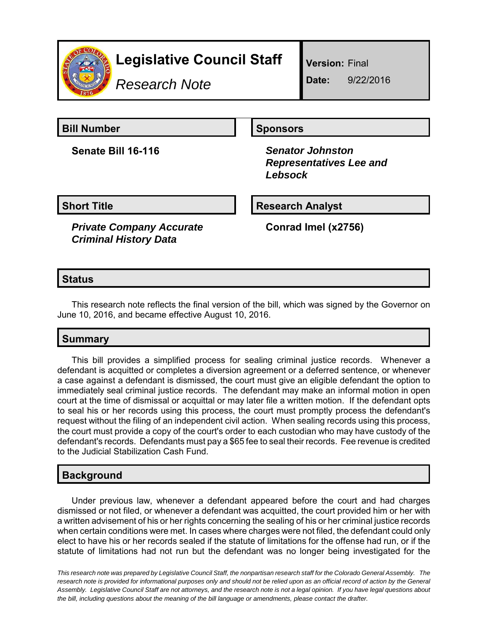

# **Legislative Council Staff**

*Research Note*

**Version:** Final

**Date:** 9/22/2016

**Bill Number Sponsors** 

**Senate Bill 16-116** *Senator Johnston*

 *Representatives Lee and Lebsock*

**Short Title Research Analyst** 

*Private Company Accurate Criminal History Data*

**Conrad Imel (x2756)**

### **Status**

This research note reflects the final version of the bill, which was signed by the Governor on June 10, 2016, and became effective August 10, 2016.

# **Summary**

This bill provides a simplified process for sealing criminal justice records. Whenever a defendant is acquitted or completes a diversion agreement or a deferred sentence, or whenever a case against a defendant is dismissed, the court must give an eligible defendant the option to immediately seal criminal justice records. The defendant may make an informal motion in open court at the time of dismissal or acquittal or may later file a written motion. If the defendant opts to seal his or her records using this process, the court must promptly process the defendant's request without the filing of an independent civil action. When sealing records using this process, the court must provide a copy of the court's order to each custodian who may have custody of the defendant's records. Defendants must pay a \$65 fee to seal their records. Fee revenue is credited to the Judicial Stabilization Cash Fund.

# **Background**

Under previous law, whenever a defendant appeared before the court and had charges dismissed or not filed, or whenever a defendant was acquitted, the court provided him or her with a written advisement of his or her rights concerning the sealing of his or her criminal justice records when certain conditions were met. In cases where charges were not filed, the defendant could only elect to have his or her records sealed if the statute of limitations for the offense had run, or if the statute of limitations had not run but the defendant was no longer being investigated for the

*This research note was prepared by Legislative Council Staff, the nonpartisan research staff for the Colorado General Assembly. The research note is provided for informational purposes only and should not be relied upon as an official record of action by the General Assembly. Legislative Council Staff are not attorneys, and the research note is not a legal opinion. If you have legal questions about the bill, including questions about the meaning of the bill language or amendments, please contact the drafter.*